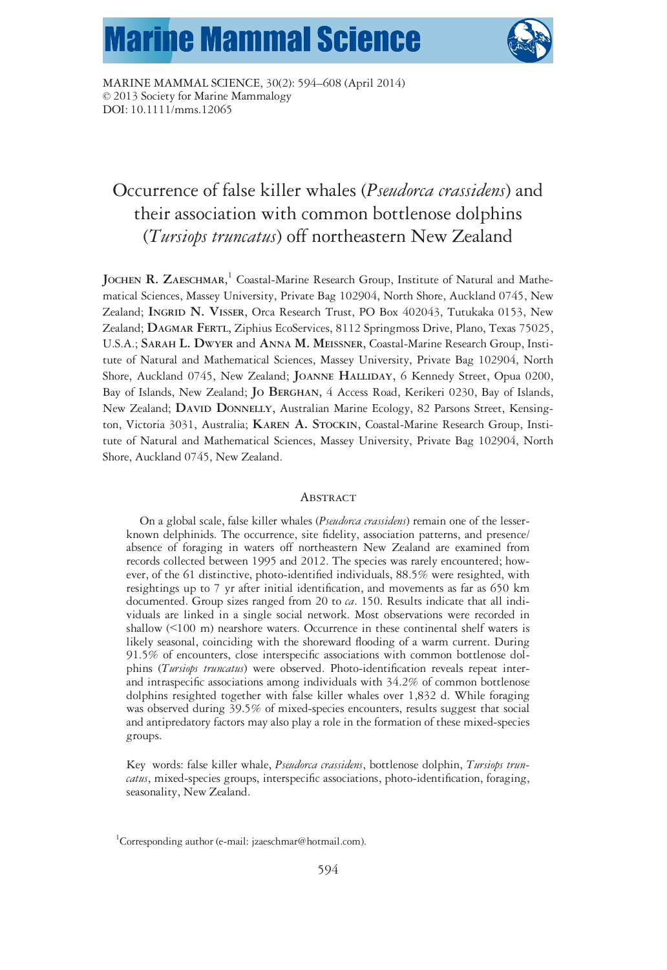# **Marine Mammal Science**



MARINE MAMMAL SCIENCE, 30(2): 594–608 (April 2014) © 2013 Society for Marine Mammalogy DOI: 10.1111/mms.12065

# Occurrence of false killer whales (*Pseudorca crassidens*) and their association with common bottlenose dolphins (Tursiops truncatus) off northeastern New Zealand

JOCHEN R. ZAESCHMAR,<sup>1</sup> Coastal-Marine Research Group, Institute of Natural and Mathematical Sciences, Massey University, Private Bag 102904, North Shore, Auckland 0745, New Zealand; INGRID N. VISSER, Orca Research Trust, PO Box 402043, Tutukaka 0153, New Zealand; DAGMAR FERTL, Ziphius EcoServices, 8112 Springmoss Drive, Plano, Texas 75025, U.S.A.; SARAH L. DWYER and ANNA M. MEISSNER, Coastal-Marine Research Group, Institute of Natural and Mathematical Sciences, Massey University, Private Bag 102904, North Shore, Auckland 0745, New Zealand; JOANNE HALLIDAY, 6 Kennedy Street, Opua 0200, Bay of Islands, New Zealand; JO BERGHAN, 4 Access Road, Kerikeri 0230, Bay of Islands, New Zealand; DAVID DONNELLY, Australian Marine Ecology, 82 Parsons Street, Kensington, Victoria 3031, Australia; KAREN A. STOCKIN, Coastal-Marine Research Group, Institute of Natural and Mathematical Sciences, Massey University, Private Bag 102904, North Shore, Auckland 0745, New Zealand.

#### **ABSTRACT**

On a global scale, false killer whales (Pseudorca crassidens) remain one of the lesserknown delphinids. The occurrence, site fidelity, association patterns, and presence/ absence of foraging in waters off northeastern New Zealand are examined from records collected between 1995 and 2012. The species was rarely encountered; however, of the 61 distinctive, photo-identified individuals, 88.5% were resighted, with resightings up to 7 yr after initial identification, and movements as far as 650 km documented. Group sizes ranged from 20 to ca. 150. Results indicate that all individuals are linked in a single social network. Most observations were recorded in shallow (<100 m) nearshore waters. Occurrence in these continental shelf waters is likely seasonal, coinciding with the shoreward flooding of a warm current. During 91.5% of encounters, close interspecific associations with common bottlenose dolphins (Tursiops truncatus) were observed. Photo-identification reveals repeat interand intraspecific associations among individuals with 34.2% of common bottlenose dolphins resighted together with false killer whales over 1,832 d. While foraging was observed during 39.5% of mixed-species encounters, results suggest that social and antipredatory factors may also play a role in the formation of these mixed-species groups.

Key words: false killer whale, Pseudorca crassidens, bottlenose dolphin, Tursiops truncatus, mixed-species groups, interspecific associations, photo-identification, foraging, seasonality, New Zealand.

<sup>&</sup>lt;sup>1</sup>Corresponding author (e-mail: jzaeschmar@hotmail.com).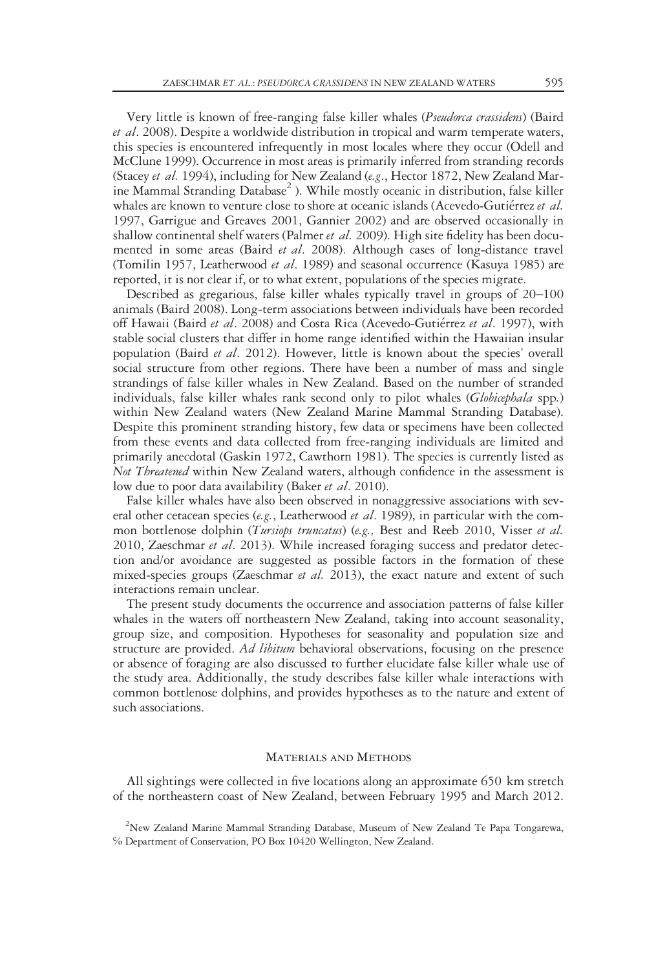Very little is known of free-ranging false killer whales (Pseudorca crassidens) (Baird et al. 2008). Despite a worldwide distribution in tropical and warm temperate waters, this species is encountered infrequently in most locales where they occur (Odell and McClune 1999). Occurrence in most areas is primarily inferred from stranding records (Stacey et al. 1994), including for New Zealand (e.g., Hector 1872, New Zealand Marine Mammal Stranding Database<sup>2</sup>). While mostly oceanic in distribution, false killer whales are known to venture close to shore at oceanic islands (Acevedo-Gutiérrez et al. 1997, Garrigue and Greaves 2001, Gannier 2002) and are observed occasionally in shallow continental shelf waters (Palmer *et al.* 2009). High site fidelity has been documented in some areas (Baird *et al.* 2008). Although cases of long-distance travel (Tomilin 1957, Leatherwood et al. 1989) and seasonal occurrence (Kasuya 1985) are reported, it is not clear if, or to what extent, populations of the species migrate.

Described as gregarious, false killer whales typically travel in groups of 20–100 animals (Baird 2008). Long-term associations between individuals have been recorded off Hawaii (Baird et al. 2008) and Costa Rica (Acevedo-Gutiérrez et al. 1997), with stable social clusters that differ in home range identified within the Hawaiian insular population (Baird et al. 2012). However, little is known about the species' overall social structure from other regions. There have been a number of mass and single strandings of false killer whales in New Zealand. Based on the number of stranded individuals, false killer whales rank second only to pilot whales (Globicephala spp.) within New Zealand waters (New Zealand Marine Mammal Stranding Database). Despite this prominent stranding history, few data or specimens have been collected from these events and data collected from free-ranging individuals are limited and primarily anecdotal (Gaskin 1972, Cawthorn 1981). The species is currently listed as *Not Threatened* within New Zealand waters, although confidence in the assessment is low due to poor data availability (Baker et al. 2010).

False killer whales have also been observed in nonaggressive associations with several other cetacean species (e.g., Leatherwood et al. 1989), in particular with the common bottlenose dolphin (Tursiops truncatus) (e.g., Best and Reeb 2010, Visser et al. 2010, Zaeschmar et al. 2013). While increased foraging success and predator detection and/or avoidance are suggested as possible factors in the formation of these mixed-species groups (Zaeschmar et al. 2013), the exact nature and extent of such interactions remain unclear.

The present study documents the occurrence and association patterns of false killer whales in the waters off northeastern New Zealand, taking into account seasonality, group size, and composition. Hypotheses for seasonality and population size and structure are provided. Ad libitum behavioral observations, focusing on the presence or absence of foraging are also discussed to further elucidate false killer whale use of the study area. Additionally, the study describes false killer whale interactions with common bottlenose dolphins, and provides hypotheses as to the nature and extent of such associations.

# Materials and Methods

All sightings were collected in five locations along an approximate 650 km stretch of the northeastern coast of New Zealand, between February 1995 and March 2012.

<sup>&</sup>lt;sup>2</sup>New Zealand Marine Mammal Stranding Database, Museum of New Zealand Te Papa Tongarewa, ℅ Department of Conservation, PO Box 10420 Wellington, New Zealand.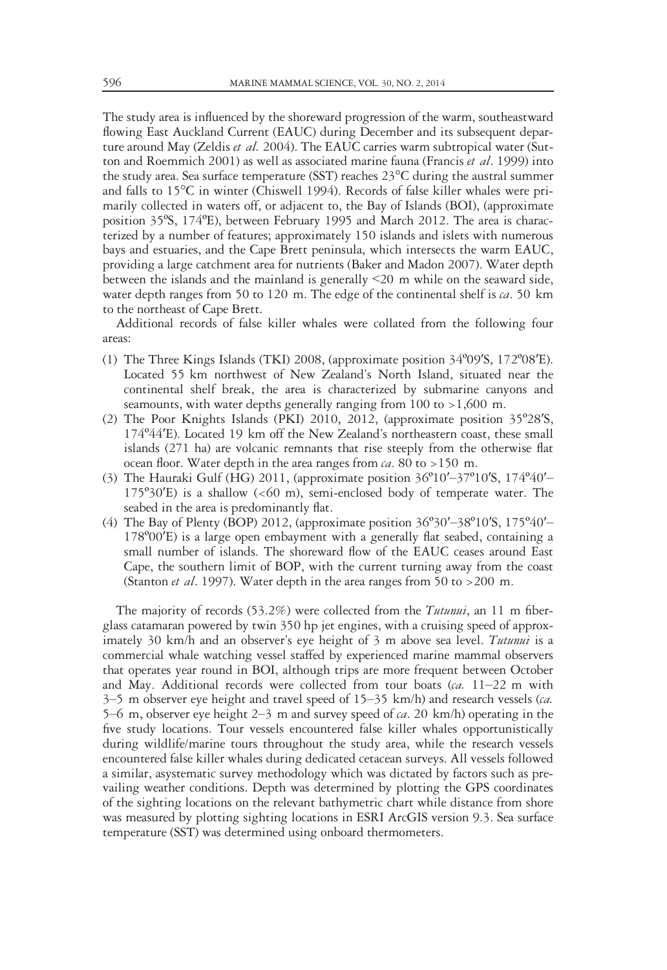The study area is influenced by the shoreward progression of the warm, southeastward flowing East Auckland Current (EAUC) during December and its subsequent departure around May (Zeldis et al. 2004). The EAUC carries warm subtropical water (Sutton and Roemmich 2001) as well as associated marine fauna (Francis et al. 1999) into the study area. Sea surface temperature (SST) reaches 23°C during the austral summer and falls to 15°C in winter (Chiswell 1994). Records of false killer whales were primarily collected in waters off, or adjacent to, the Bay of Islands (BOI), (approximate position 35ºS, 174ºE), between February 1995 and March 2012. The area is characterized by a number of features; approximately 150 islands and islets with numerous bays and estuaries, and the Cape Brett peninsula, which intersects the warm EAUC, providing a large catchment area for nutrients (Baker and Madon 2007). Water depth between the islands and the mainland is generally <20 m while on the seaward side, water depth ranges from 50 to 120 m. The edge of the continental shelf is  $ca$ . 50 km to the northeast of Cape Brett.

Additional records of false killer whales were collated from the following four areas:

- (1) The Three Kings Islands (TKI) 2008, (approximate position 34º09′S, 172º08′E). Located 55 km northwest of New Zealand's North Island, situated near the continental shelf break, the area is characterized by submarine canyons and seamounts, with water depths generally ranging from 100 to >1,600 m.
- (2) The Poor Knights Islands (PKI) 2010, 2012, (approximate position 35º28′S, 174º44′E). Located 19 km off the New Zealand's northeastern coast, these small islands (271 ha) are volcanic remnants that rise steeply from the otherwise flat ocean floor. Water depth in the area ranges from  $ca$ . 80 to >150 m.
- (3) The Hauraki Gulf (HG) 2011, (approximate position 36º10′–37º10′S, 174º40′–  $175°30'E$ ) is a shallow (<60 m), semi-enclosed body of temperate water. The seabed in the area is predominantly flat.
- (4) The Bay of Plenty (BOP) 2012, (approximate position  $36^{\circ}30'$   $38^{\circ}10'$ S,  $175^{\circ}40'$  -178º00′E) is a large open embayment with a generally flat seabed, containing a small number of islands. The shoreward flow of the EAUC ceases around East Cape, the southern limit of BOP, with the current turning away from the coast (Stanton *et al.* 1997). Water depth in the area ranges from 50 to  $>200$  m.

The majority of records (53.2%) were collected from the *Tutunui*, an 11 m fiberglass catamaran powered by twin 350 hp jet engines, with a cruising speed of approximately 30 km/h and an observer's eye height of 3 m above sea level. Tutunui is a commercial whale watching vessel staffed by experienced marine mammal observers that operates year round in BOI, although trips are more frequent between October and May. Additional records were collected from tour boats ( $ca$ . 11–22 m with  $3-5$  m observer eye height and travel speed of  $15-35$  km/h) and research vessels (*ca.* 5–6 m, observer eye height 2–3 m and survey speed of  $ca$ . 20 km/h) operating in the five study locations. Tour vessels encountered false killer whales opportunistically during wildlife/marine tours throughout the study area, while the research vessels encountered false killer whales during dedicated cetacean surveys. All vessels followed a similar, asystematic survey methodology which was dictated by factors such as prevailing weather conditions. Depth was determined by plotting the GPS coordinates of the sighting locations on the relevant bathymetric chart while distance from shore was measured by plotting sighting locations in ESRI ArcGIS version 9.3. Sea surface temperature (SST) was determined using onboard thermometers.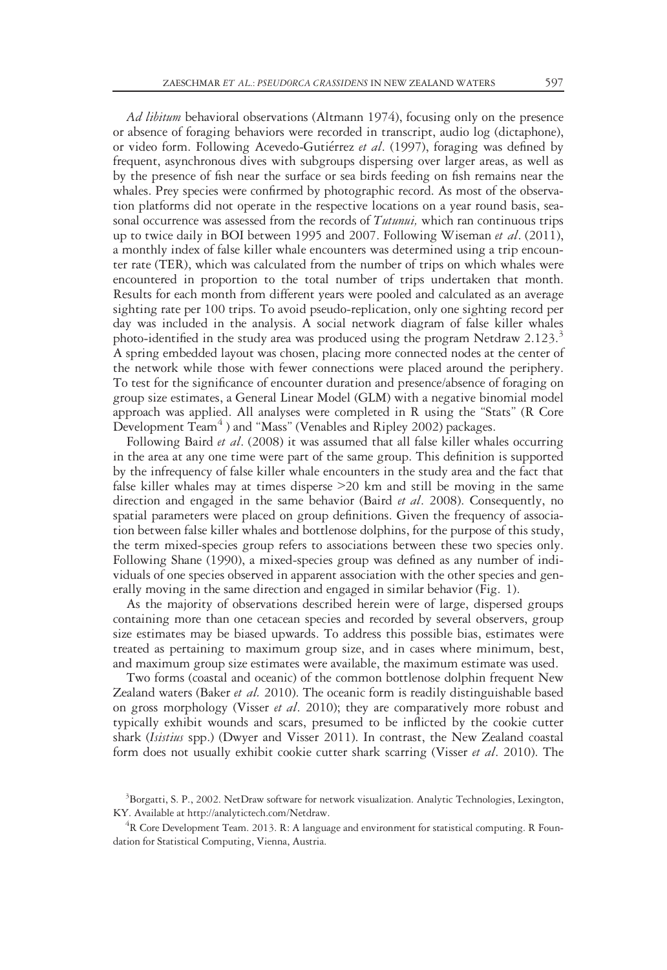Ad libitum behavioral observations (Altmann 1974), focusing only on the presence or absence of foraging behaviors were recorded in transcript, audio log (dictaphone), or video form. Following Acevedo-Gutiérrez et al. (1997), foraging was defined by frequent, asynchronous dives with subgroups dispersing over larger areas, as well as by the presence of fish near the surface or sea birds feeding on fish remains near the whales. Prey species were confirmed by photographic record. As most of the observation platforms did not operate in the respective locations on a year round basis, seasonal occurrence was assessed from the records of Tutunui, which ran continuous trips up to twice daily in BOI between 1995 and 2007. Following Wiseman et al. (2011), a monthly index of false killer whale encounters was determined using a trip encounter rate (TER), which was calculated from the number of trips on which whales were encountered in proportion to the total number of trips undertaken that month. Results for each month from different years were pooled and calculated as an average sighting rate per 100 trips. To avoid pseudo-replication, only one sighting record per day was included in the analysis. A social network diagram of false killer whales photo-identified in the study area was produced using the program Netdraw  $2.123.^3$ A spring embedded layout was chosen, placing more connected nodes at the center of the network while those with fewer connections were placed around the periphery. To test for the significance of encounter duration and presence/absence of foraging on group size estimates, a General Linear Model (GLM) with a negative binomial model approach was applied. All analyses were completed in R using the "Stats" (R Core Development Team<sup>4</sup>) and "Mass" (Venables and Ripley 2002) packages.

Following Baird et al. (2008) it was assumed that all false killer whales occurring in the area at any one time were part of the same group. This definition is supported by the infrequency of false killer whale encounters in the study area and the fact that false killer whales may at times disperse >20 km and still be moving in the same direction and engaged in the same behavior (Baird *et al.* 2008). Consequently, no spatial parameters were placed on group definitions. Given the frequency of association between false killer whales and bottlenose dolphins, for the purpose of this study, the term mixed-species group refers to associations between these two species only. Following Shane (1990), a mixed-species group was defined as any number of individuals of one species observed in apparent association with the other species and generally moving in the same direction and engaged in similar behavior (Fig. 1).

As the majority of observations described herein were of large, dispersed groups containing more than one cetacean species and recorded by several observers, group size estimates may be biased upwards. To address this possible bias, estimates were treated as pertaining to maximum group size, and in cases where minimum, best, and maximum group size estimates were available, the maximum estimate was used.

Two forms (coastal and oceanic) of the common bottlenose dolphin frequent New Zealand waters (Baker et al. 2010). The oceanic form is readily distinguishable based on gross morphology (Visser *et al.* 2010); they are comparatively more robust and typically exhibit wounds and scars, presumed to be inflicted by the cookie cutter shark (Isistius spp.) (Dwyer and Visser 2011). In contrast, the New Zealand coastal form does not usually exhibit cookie cutter shark scarring (Visser et al. 2010). The

<sup>&</sup>lt;sup>3</sup>Borgatti, S. P., 2002. NetDraw software for network visualization. Analytic Technologies, Lexington, KY. Available at http://analytictech.com/Netdraw.

 ${}^{4}$ R Core Development Team. 2013. R: A language and environment for statistical computing. R Foundation for Statistical Computing, Vienna, Austria.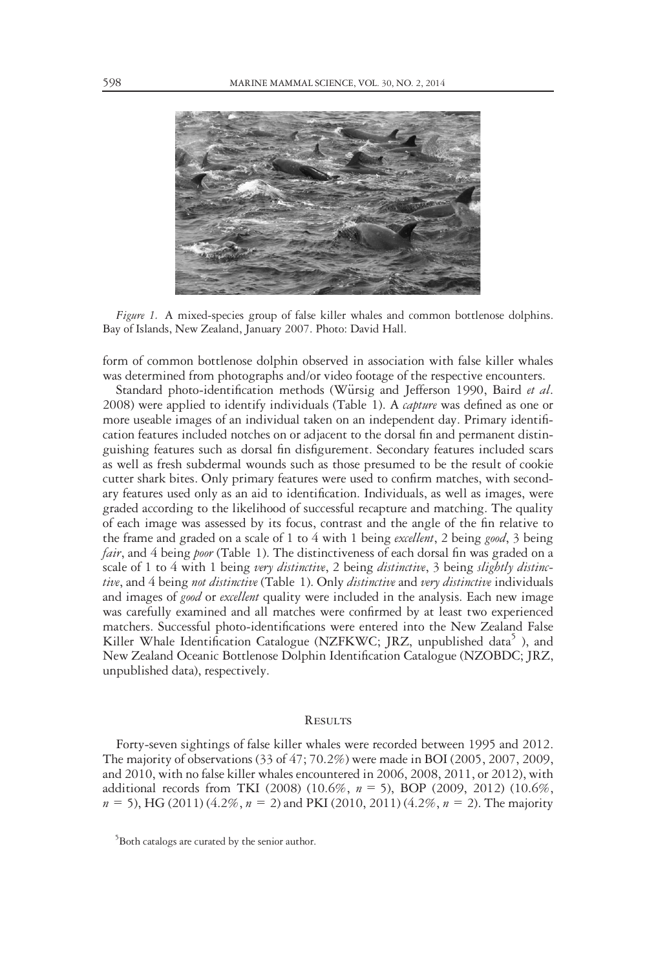

Figure 1. A mixed-species group of false killer whales and common bottlenose dolphins. Bay of Islands, New Zealand, January 2007. Photo: David Hall.

form of common bottlenose dolphin observed in association with false killer whales was determined from photographs and/or video footage of the respective encounters.

Standard photo-identification methods (Würsig and Jefferson 1990, Baird et al. 2008) were applied to identify individuals (Table 1). A *capture* was defined as one or more useable images of an individual taken on an independent day. Primary identification features included notches on or adjacent to the dorsal fin and permanent distinguishing features such as dorsal fin disfigurement. Secondary features included scars as well as fresh subdermal wounds such as those presumed to be the result of cookie cutter shark bites. Only primary features were used to confirm matches, with secondary features used only as an aid to identification. Individuals, as well as images, were graded according to the likelihood of successful recapture and matching. The quality of each image was assessed by its focus, contrast and the angle of the fin relative to the frame and graded on a scale of 1 to 4 with 1 being *excellent*, 2 being *good*, 3 being fair, and 4 being *poor* (Table 1). The distinctiveness of each dorsal fin was graded on a scale of 1 to 4 with 1 being very distinctive, 2 being distinctive, 3 being slightly distinctive, and 4 being not distinctive (Table 1). Only distinctive and very distinctive individuals and images of *good* or *excellent* quality were included in the analysis. Each new image was carefully examined and all matches were confirmed by at least two experienced matchers. Successful photo-identifications were entered into the New Zealand False Killer Whale Identification Catalogue (NZFKWC; JRZ, unpublished data<sup>5</sup>), and New Zealand Oceanic Bottlenose Dolphin Identification Catalogue (NZOBDC; JRZ, unpublished data), respectively.

# **RESULTS**

Forty-seven sightings of false killer whales were recorded between 1995 and 2012. The majority of observations (33 of 47; 70.2%) were made in BOI (2005, 2007, 2009, and 2010, with no false killer whales encountered in 2006, 2008, 2011, or 2012), with additional records from TKI (2008) (10.6%, n = 5), BOP (2009, 2012) (10.6%,  $n = 5$ ), HG (2011) (4.2%,  $n = 2$ ) and PKI (2010, 2011) (4.2%,  $n = 2$ ). The majority

<sup>&</sup>lt;sup>5</sup>Both catalogs are curated by the senior author.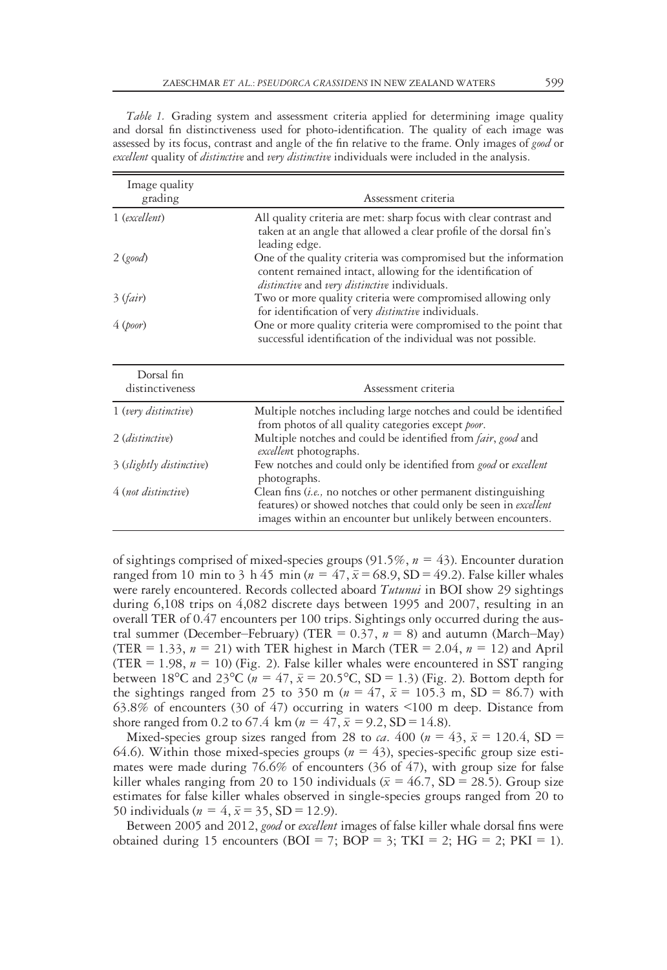Table 1. Grading system and assessment criteria applied for determining image quality and dorsal fin distinctiveness used for photo-identification. The quality of each image was assessed by its focus, contrast and angle of the fin relative to the frame. Only images of good or excellent quality of *distinctive* and very *distinctive* individuals were included in the analysis.

| Image quality<br>grading | Assessment criteria<br>All quality criteria are met: sharp focus with clear contrast and<br>taken at an angle that allowed a clear profile of the dorsal fin's<br>leading edge.                                                                                                                              |  |  |  |
|--------------------------|--------------------------------------------------------------------------------------------------------------------------------------------------------------------------------------------------------------------------------------------------------------------------------------------------------------|--|--|--|
| 1 (excellent)            |                                                                                                                                                                                                                                                                                                              |  |  |  |
| 2 (good)                 | One of the quality criteria was compromised but the information<br>content remained intact, allowing for the identification of<br>distinctive and very distinctive individuals.<br>Two or more quality criteria were compromised allowing only<br>for identification of very <i>distinctive</i> individuals. |  |  |  |
| 3 (fair)                 |                                                                                                                                                                                                                                                                                                              |  |  |  |
| 4 (poor)                 | One or more quality criteria were compromised to the point that<br>successful identification of the individual was not possible.                                                                                                                                                                             |  |  |  |
| Dorsal fin               |                                                                                                                                                                                                                                                                                                              |  |  |  |
| distinctiveness          | Assessment criteria                                                                                                                                                                                                                                                                                          |  |  |  |
| 1 (very distinctive)     | Multiple notches including large notches and could be identified<br>from photos of all quality categories except poor.                                                                                                                                                                                       |  |  |  |
| 2 (distinctive)          | Multiple notches and could be identified from fair, good and<br>excellent photographs.                                                                                                                                                                                                                       |  |  |  |
| 3 (slightly distinctive) | Few notches and could only be identified from good or excellent<br>photographs.                                                                                                                                                                                                                              |  |  |  |
| 4 (not distinctive)      | Clean fins $(i.e.,$ no notches or other permanent distinguishing<br>features) or showed notches that could only be seen in excellent<br>images within an encounter but unlikely between encounters.                                                                                                          |  |  |  |

of sightings comprised of mixed-species groups (91.5%,  $n = 43$ ). Encounter duration ranged from 10 min to 3 h 45 min ( $n = 47$ ,  $\bar{x} = 68.9$ , SD = 49.2). False killer whales were rarely encountered. Records collected aboard *Tutunui* in BOI show 29 sightings during 6,108 trips on 4,082 discrete days between 1995 and 2007, resulting in an overall TER of 0.47 encounters per 100 trips. Sightings only occurred during the austral summer (December–February) (TER =  $0.37$ ,  $n = 8$ ) and autumn (March–May) (TER = 1.33,  $n = 21$ ) with TER highest in March (TER = 2.04,  $n = 12$ ) and April (TER = 1.98,  $n = 10$ ) (Fig. 2). False killer whales were encountered in SST ranging between 18°C and 23°C ( $n = 47$ ,  $\bar{x} = 20.5$ °C, SD = 1.3) (Fig. 2). Bottom depth for the sightings ranged from 25 to 350 m ( $n = 47$ ,  $\bar{x} = 105.3$  m, SD = 86.7) with 63.8% of encounters (30 of 47) occurring in waters <100 m deep. Distance from shore ranged from 0.2 to 67.4 km ( $n = 47$ ,  $\bar{x} = 9.2$ , SD = 14.8).

Mixed-species group sizes ranged from 28 to *ca*. 400 ( $n = 43$ ,  $\bar{x} = 120.4$ , SD = 64.6). Within those mixed-species groups ( $n = 43$ ), species-specific group size estimates were made during 76.6% of encounters (36 of 47), with group size for false killer whales ranging from 20 to 150 individuals ( $\bar{x} = 46.7$ , SD = 28.5). Group size estimates for false killer whales observed in single-species groups ranged from 20 to 50 individuals ( $n = 4$ ,  $\bar{x} = 35$ , SD = 12.9).

Between 2005 and 2012, good or excellent images of false killer whale dorsal fins were obtained during 15 encounters (BOI = 7; BOP = 3; TKI = 2; HG = 2; PKI = 1).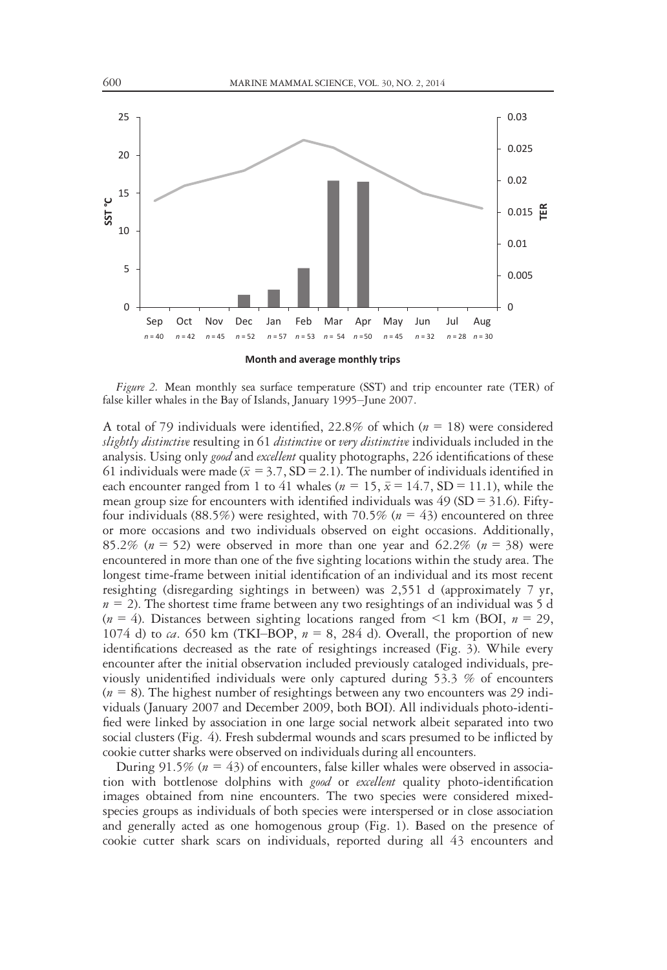

Figure 2. Mean monthly sea surface temperature (SST) and trip encounter rate (TER) of false killer whales in the Bay of Islands, January 1995–June 2007.

A total of 79 individuals were identified, 22.8% of which ( $n = 18$ ) were considered slightly distinctive resulting in 61 distinctive or very distinctive individuals included in the analysis. Using only *good* and excellent quality photographs, 226 identifications of these 61 individuals were made ( $\bar{x} = 3.7$ , SD = 2.1). The number of individuals identified in each encounter ranged from 1 to 41 whales ( $n = 15$ ,  $\bar{x} = 14.7$ , SD = 11.1), while the mean group size for encounters with identified individuals was  $49$  (SD = 31.6). Fiftyfour individuals (88.5%) were resighted, with 70.5% ( $n = 43$ ) encountered on three or more occasions and two individuals observed on eight occasions. Additionally, 85.2% ( $n = 52$ ) were observed in more than one year and 62.2% ( $n = 38$ ) were encountered in more than one of the five sighting locations within the study area. The longest time-frame between initial identification of an individual and its most recent resighting (disregarding sightings in between) was 2,551 d (approximately 7 yr,  $n = 2$ ). The shortest time frame between any two resightings of an individual was 5 d  $(n = 4)$ . Distances between sighting locations ranged from  $\leq 1$  km (BOI,  $n = 29$ , 1074 d) to ca. 650 km (TKI–BOP,  $n = 8$ , 284 d). Overall, the proportion of new identifications decreased as the rate of resightings increased (Fig. 3). While every encounter after the initial observation included previously cataloged individuals, previously unidentified individuals were only captured during 53.3 % of encounters  $(n = 8)$ . The highest number of resightings between any two encounters was 29 individuals (January 2007 and December 2009, both BOI). All individuals photo-identified were linked by association in one large social network albeit separated into two social clusters (Fig. 4). Fresh subdermal wounds and scars presumed to be inflicted by cookie cutter sharks were observed on individuals during all encounters.

During  $91.5\%$  ( $n = 43$ ) of encounters, false killer whales were observed in association with bottlenose dolphins with *good* or *excellent* quality photo-identification images obtained from nine encounters. The two species were considered mixedspecies groups as individuals of both species were interspersed or in close association and generally acted as one homogenous group (Fig. 1). Based on the presence of cookie cutter shark scars on individuals, reported during all 43 encounters and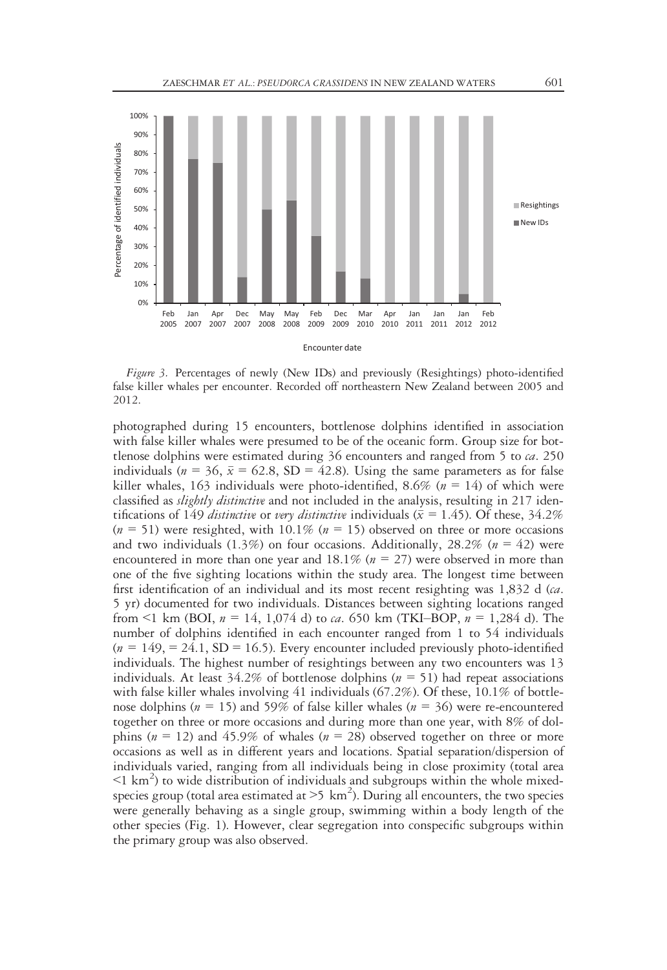

Figure 3. Percentages of newly (New IDs) and previously (Resightings) photo-identified false killer whales per encounter. Recorded off northeastern New Zealand between 2005 and 2012.

photographed during 15 encounters, bottlenose dolphins identified in association with false killer whales were presumed to be of the oceanic form. Group size for bottlenose dolphins were estimated during  $36$  encounters and ranged from  $5$  to  $ca$ . 250 individuals ( $n = 36$ ,  $\bar{x} = 62.8$ , SD = 42.8). Using the same parameters as for false killer whales, 163 individuals were photo-identified, 8.6% ( $n = 14$ ) of which were classified as *slightly distinctive* and not included in the analysis, resulting in 217 identifications of 149 *distinctive* or *very distinctive* individuals ( $\bar{x} = 1.45$ ). Of these, 34.2%  $(n = 51)$  were resighted, with 10.1%  $(n = 15)$  observed on three or more occasions and two individuals (1.3%) on four occasions. Additionally, 28.2% ( $n = 42$ ) were encountered in more than one year and 18.1% ( $n = 27$ ) were observed in more than one of the five sighting locations within the study area. The longest time between first identification of an individual and its most recent resighting was  $1,832$  d (*ca*. 5 yr) documented for two individuals. Distances between sighting locations ranged from  $\leq 1$  km (BOI,  $n = 14$ , 1,074 d) to *ca*. 650 km (TKI–BOP,  $n = 1,284$  d). The number of dolphins identified in each encounter ranged from 1 to 54 individuals  $(n = 149) = 24.1$ , SD = 16.5). Every encounter included previously photo-identified individuals. The highest number of resightings between any two encounters was 13 individuals. At least  $34.2\%$  of bottlenose dolphins ( $n = 51$ ) had repeat associations with false killer whales involving 41 individuals (67.2%). Of these, 10.1% of bottlenose dolphins ( $n = 15$ ) and 59% of false killer whales ( $n = 36$ ) were re-encountered together on three or more occasions and during more than one year, with 8% of dolphins ( $n = 12$ ) and 45.9% of whales ( $n = 28$ ) observed together on three or more occasions as well as in different years and locations. Spatial separation/dispersion of individuals varied, ranging from all individuals being in close proximity (total area  $\leq$ 1 km<sup>2</sup>) to wide distribution of individuals and subgroups within the whole mixedspecies group (total area estimated at  $>5 \text{ km}^2$ ). During all encounters, the two species were generally behaving as a single group, swimming within a body length of the other species (Fig. 1). However, clear segregation into conspecific subgroups within the primary group was also observed.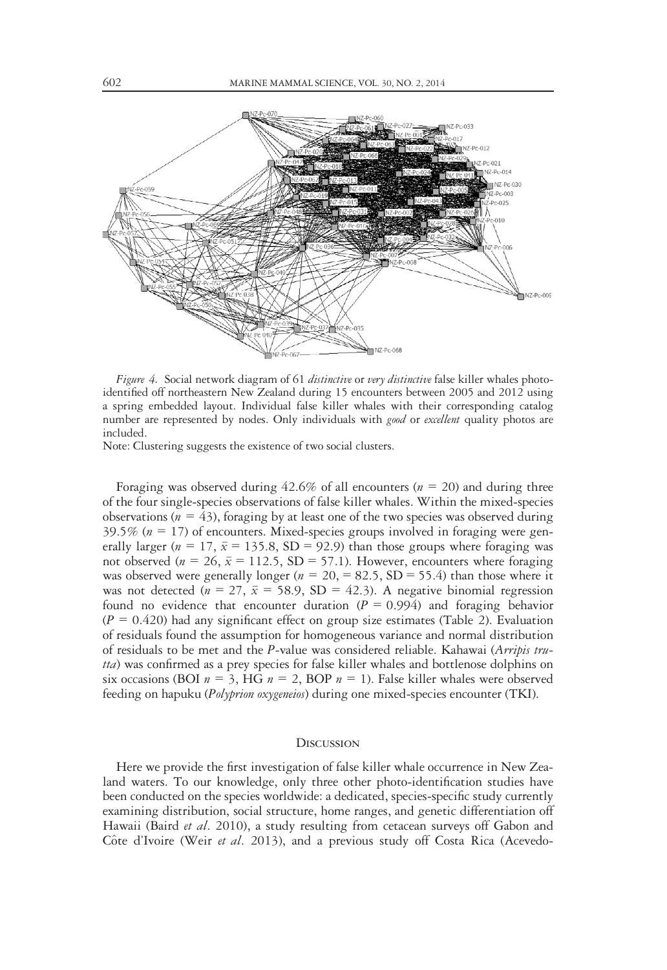

Figure 4. Social network diagram of 61 distinctive or very distinctive false killer whales photoidentified off northeastern New Zealand during 15 encounters between 2005 and 2012 using a spring embedded layout. Individual false killer whales with their corresponding catalog number are represented by nodes. Only individuals with *good* or *excellent* quality photos are included.

Note: Clustering suggests the existence of two social clusters.

Foraging was observed during  $42.6\%$  of all encounters ( $n = 20$ ) and during three of the four single-species observations of false killer whales. Within the mixed-species observations ( $n = 43$ ), foraging by at least one of the two species was observed during 39.5% ( $n = 17$ ) of encounters. Mixed-species groups involved in foraging were generally larger ( $n = 17$ ,  $\bar{x} = 135.8$ , SD = 92.9) than those groups where foraging was not observed ( $n = 26$ ,  $\bar{x} = 112.5$ , SD = 57.1). However, encounters where foraging was observed were generally longer ( $n = 20$ , = 82.5, SD = 55.4) than those where it was not detected ( $n = 27$ ,  $\bar{x} = 58.9$ , SD = 42.3). A negative binomial regression found no evidence that encounter duration  $(P = 0.994)$  and foraging behavior  $(P = 0.420)$  had any significant effect on group size estimates (Table 2). Evaluation of residuals found the assumption for homogeneous variance and normal distribution of residuals to be met and the P-value was considered reliable. Kahawai (Arripis trutta) was confirmed as a prey species for false killer whales and bottlenose dolphins on six occasions (BOI  $n = 3$ , HG  $n = 2$ , BOP  $n = 1$ ). False killer whales were observed feeding on hapuku (Polyprion oxygeneios) during one mixed-species encounter (TKI).

#### **DISCUSSION**

Here we provide the first investigation of false killer whale occurrence in New Zealand waters. To our knowledge, only three other photo-identification studies have been conducted on the species worldwide: a dedicated, species-specific study currently examining distribution, social structure, home ranges, and genetic differentiation off Hawaii (Baird et al. 2010), a study resulting from cetacean surveys off Gabon and Côte d'Ivoire (Weir et al. 2013), and a previous study off Costa Rica (Acevedo-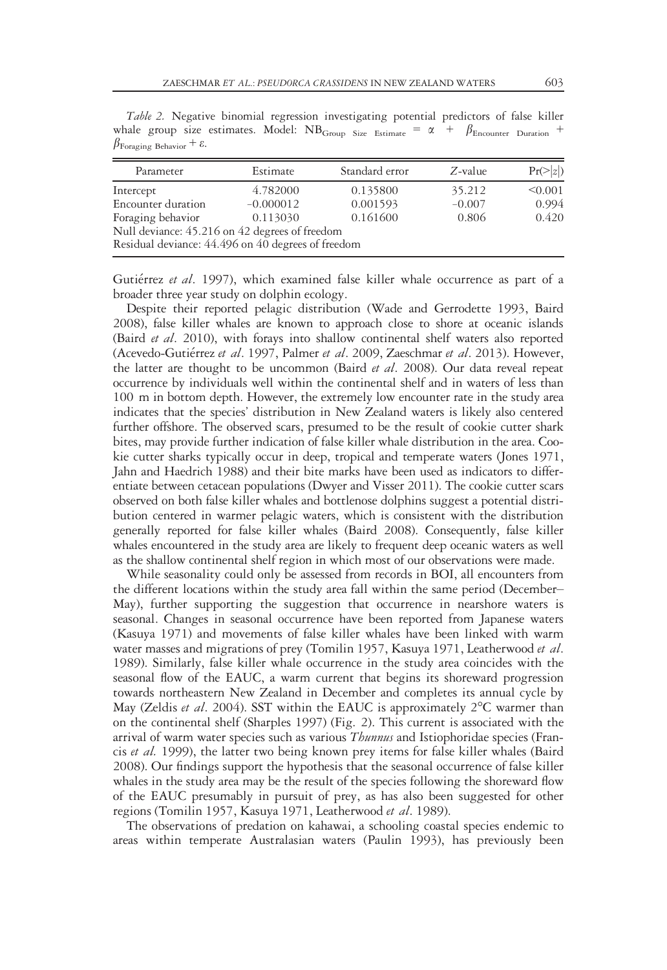Table 2. Negative binomial regression investigating potential predictors of false killer whale group size estimates. Model: NB<sub>Group</sub> Size Estimate =  $\alpha$  +  $\beta_{\text{Encounter} \text{Duration}}$  +  $\beta_{\text{Foraging Behavior}} + \varepsilon$ .

| Parameter                                                                                            | Estimate    | Standard error | $Z$ -value | $Pr(>\vert z \vert)$ |
|------------------------------------------------------------------------------------------------------|-------------|----------------|------------|----------------------|
| Intercept                                                                                            | 4.782000    | 0.135800       | 35.212     | < 0.001              |
| Encounter duration                                                                                   | $-0.000012$ | 0.001593       | $-0.007$   | 0.994                |
| Foraging behavior                                                                                    | 0.113030    | 0.161600       | 0.806      | 0.420                |
| Null deviance: 45.216 on 42 degrees of freedom<br>Residual deviance: 44.496 on 40 degrees of freedom |             |                |            |                      |

Gutierrez et al. 1997), which examined false killer whale occurrence as part of a broader three year study on dolphin ecology.

Despite their reported pelagic distribution (Wade and Gerrodette 1993, Baird 2008), false killer whales are known to approach close to shore at oceanic islands (Baird et al. 2010), with forays into shallow continental shelf waters also reported (Acevedo-Gutiérrez et al. 1997, Palmer et al. 2009, Zaeschmar et al. 2013). However, the latter are thought to be uncommon (Baird *et al.* 2008). Our data reveal repeat occurrence by individuals well within the continental shelf and in waters of less than 100 m in bottom depth. However, the extremely low encounter rate in the study area indicates that the species' distribution in New Zealand waters is likely also centered further offshore. The observed scars, presumed to be the result of cookie cutter shark bites, may provide further indication of false killer whale distribution in the area. Cookie cutter sharks typically occur in deep, tropical and temperate waters (Jones 1971, Jahn and Haedrich 1988) and their bite marks have been used as indicators to differentiate between cetacean populations (Dwyer and Visser 2011). The cookie cutter scars observed on both false killer whales and bottlenose dolphins suggest a potential distribution centered in warmer pelagic waters, which is consistent with the distribution generally reported for false killer whales (Baird 2008). Consequently, false killer whales encountered in the study area are likely to frequent deep oceanic waters as well as the shallow continental shelf region in which most of our observations were made.

While seasonality could only be assessed from records in BOI, all encounters from the different locations within the study area fall within the same period (December– May), further supporting the suggestion that occurrence in nearshore waters is seasonal. Changes in seasonal occurrence have been reported from Japanese waters (Kasuya 1971) and movements of false killer whales have been linked with warm water masses and migrations of prey (Tomilin 1957, Kasuya 1971, Leatherwood et al. 1989). Similarly, false killer whale occurrence in the study area coincides with the seasonal flow of the EAUC, a warm current that begins its shoreward progression towards northeastern New Zealand in December and completes its annual cycle by May (Zeldis *et al.* 2004). SST within the EAUC is approximately  $2^{\circ}$ C warmer than on the continental shelf (Sharples 1997) (Fig. 2). This current is associated with the arrival of warm water species such as various *Thunnus* and Istiophoridae species (Francis et al. 1999), the latter two being known prey items for false killer whales (Baird 2008). Our findings support the hypothesis that the seasonal occurrence of false killer whales in the study area may be the result of the species following the shoreward flow of the EAUC presumably in pursuit of prey, as has also been suggested for other regions (Tomilin 1957, Kasuya 1971, Leatherwood et al. 1989).

The observations of predation on kahawai, a schooling coastal species endemic to areas within temperate Australasian waters (Paulin 1993), has previously been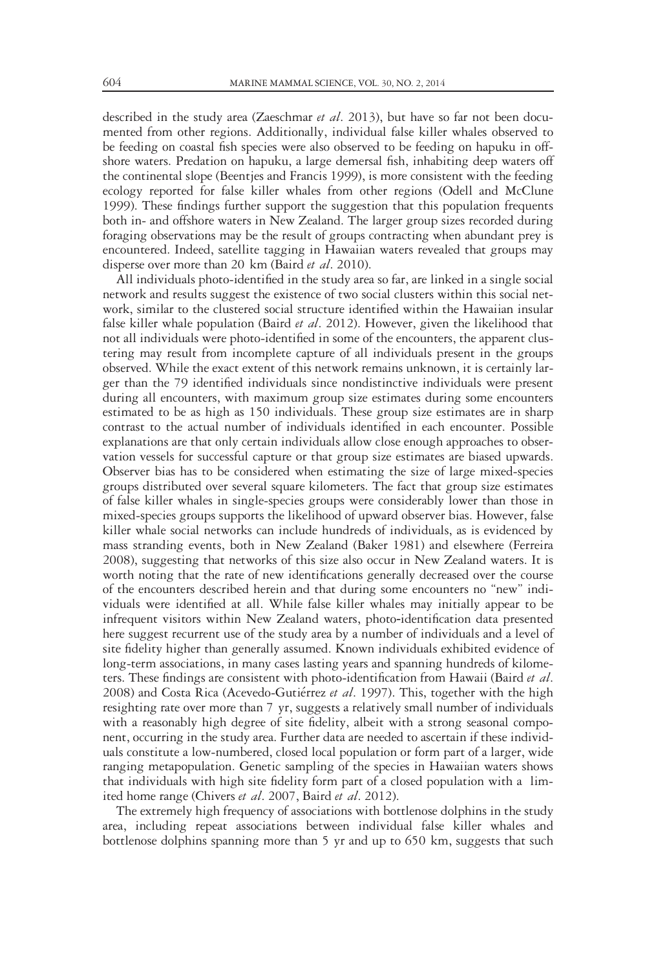described in the study area (Zaeschmar *et al.* 2013), but have so far not been documented from other regions. Additionally, individual false killer whales observed to be feeding on coastal fish species were also observed to be feeding on hapuku in offshore waters. Predation on hapuku, a large demersal fish, inhabiting deep waters off the continental slope (Beentjes and Francis 1999), is more consistent with the feeding ecology reported for false killer whales from other regions (Odell and McClune 1999). These findings further support the suggestion that this population frequents both in- and offshore waters in New Zealand. The larger group sizes recorded during foraging observations may be the result of groups contracting when abundant prey is encountered. Indeed, satellite tagging in Hawaiian waters revealed that groups may disperse over more than 20 km (Baird *et al.* 2010).

All individuals photo-identified in the study area so far, are linked in a single social network and results suggest the existence of two social clusters within this social network, similar to the clustered social structure identified within the Hawaiian insular false killer whale population (Baird et al. 2012). However, given the likelihood that not all individuals were photo-identified in some of the encounters, the apparent clustering may result from incomplete capture of all individuals present in the groups observed. While the exact extent of this network remains unknown, it is certainly larger than the 79 identified individuals since nondistinctive individuals were present during all encounters, with maximum group size estimates during some encounters estimated to be as high as 150 individuals. These group size estimates are in sharp contrast to the actual number of individuals identified in each encounter. Possible explanations are that only certain individuals allow close enough approaches to observation vessels for successful capture or that group size estimates are biased upwards. Observer bias has to be considered when estimating the size of large mixed-species groups distributed over several square kilometers. The fact that group size estimates of false killer whales in single-species groups were considerably lower than those in mixed-species groups supports the likelihood of upward observer bias. However, false killer whale social networks can include hundreds of individuals, as is evidenced by mass stranding events, both in New Zealand (Baker 1981) and elsewhere (Ferreira 2008), suggesting that networks of this size also occur in New Zealand waters. It is worth noting that the rate of new identifications generally decreased over the course of the encounters described herein and that during some encounters no "new" individuals were identified at all. While false killer whales may initially appear to be infrequent visitors within New Zealand waters, photo-identification data presented here suggest recurrent use of the study area by a number of individuals and a level of site fidelity higher than generally assumed. Known individuals exhibited evidence of long-term associations, in many cases lasting years and spanning hundreds of kilometers. These findings are consistent with photo-identification from Hawaii (Baird et al. 2008) and Costa Rica (Acevedo-Gutiérrez et al. 1997). This, together with the high resighting rate over more than 7 yr, suggests a relatively small number of individuals with a reasonably high degree of site fidelity, albeit with a strong seasonal component, occurring in the study area. Further data are needed to ascertain if these individuals constitute a low-numbered, closed local population or form part of a larger, wide ranging metapopulation. Genetic sampling of the species in Hawaiian waters shows that individuals with high site fidelity form part of a closed population with a limited home range (Chivers et al. 2007, Baird et al. 2012).

The extremely high frequency of associations with bottlenose dolphins in the study area, including repeat associations between individual false killer whales and bottlenose dolphins spanning more than 5 yr and up to 650 km, suggests that such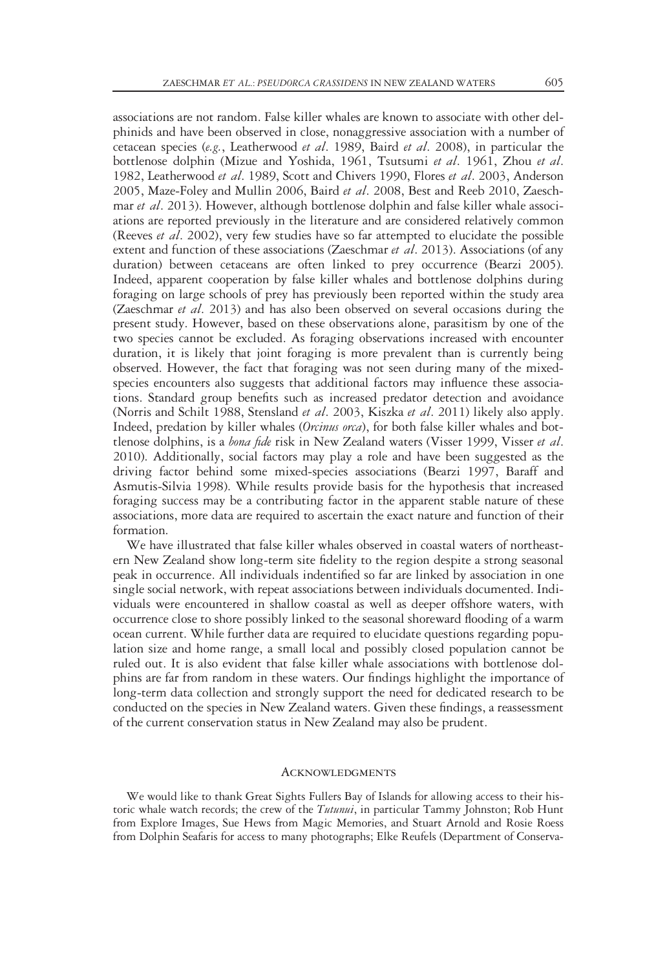associations are not random. False killer whales are known to associate with other delphinids and have been observed in close, nonaggressive association with a number of cetacean species (e.g., Leatherwood et al. 1989, Baird et al. 2008), in particular the bottlenose dolphin (Mizue and Yoshida, 1961, Tsutsumi et al. 1961, Zhou et al. 1982, Leatherwood et al. 1989, Scott and Chivers 1990, Flores et al. 2003, Anderson 2005, Maze-Foley and Mullin 2006, Baird et al. 2008, Best and Reeb 2010, Zaeschmar et al. 2013). However, although bottlenose dolphin and false killer whale associations are reported previously in the literature and are considered relatively common (Reeves et al. 2002), very few studies have so far attempted to elucidate the possible extent and function of these associations (Zaeschmar et al. 2013). Associations (of any duration) between cetaceans are often linked to prey occurrence (Bearzi 2005). Indeed, apparent cooperation by false killer whales and bottlenose dolphins during foraging on large schools of prey has previously been reported within the study area (Zaeschmar et al. 2013) and has also been observed on several occasions during the present study. However, based on these observations alone, parasitism by one of the two species cannot be excluded. As foraging observations increased with encounter duration, it is likely that joint foraging is more prevalent than is currently being observed. However, the fact that foraging was not seen during many of the mixedspecies encounters also suggests that additional factors may influence these associations. Standard group benefits such as increased predator detection and avoidance (Norris and Schilt 1988, Stensland et al. 2003, Kiszka et al. 2011) likely also apply. Indeed, predation by killer whales (Orcinus orca), for both false killer whales and bottlenose dolphins, is a bona fide risk in New Zealand waters (Visser 1999, Visser et al. 2010). Additionally, social factors may play a role and have been suggested as the driving factor behind some mixed-species associations (Bearzi 1997, Baraff and Asmutis-Silvia 1998). While results provide basis for the hypothesis that increased foraging success may be a contributing factor in the apparent stable nature of these associations, more data are required to ascertain the exact nature and function of their formation.

We have illustrated that false killer whales observed in coastal waters of northeastern New Zealand show long-term site fidelity to the region despite a strong seasonal peak in occurrence. All individuals indentified so far are linked by association in one single social network, with repeat associations between individuals documented. Individuals were encountered in shallow coastal as well as deeper offshore waters, with occurrence close to shore possibly linked to the seasonal shoreward flooding of a warm ocean current. While further data are required to elucidate questions regarding population size and home range, a small local and possibly closed population cannot be ruled out. It is also evident that false killer whale associations with bottlenose dolphins are far from random in these waters. Our findings highlight the importance of long-term data collection and strongly support the need for dedicated research to be conducted on the species in New Zealand waters. Given these findings, a reassessment of the current conservation status in New Zealand may also be prudent.

#### **ACKNOWLEDGMENTS**

We would like to thank Great Sights Fullers Bay of Islands for allowing access to their historic whale watch records; the crew of the *Tutunui*, in particular Tammy Johnston; Rob Hunt from Explore Images, Sue Hews from Magic Memories, and Stuart Arnold and Rosie Roess from Dolphin Seafaris for access to many photographs; Elke Reufels (Department of Conserva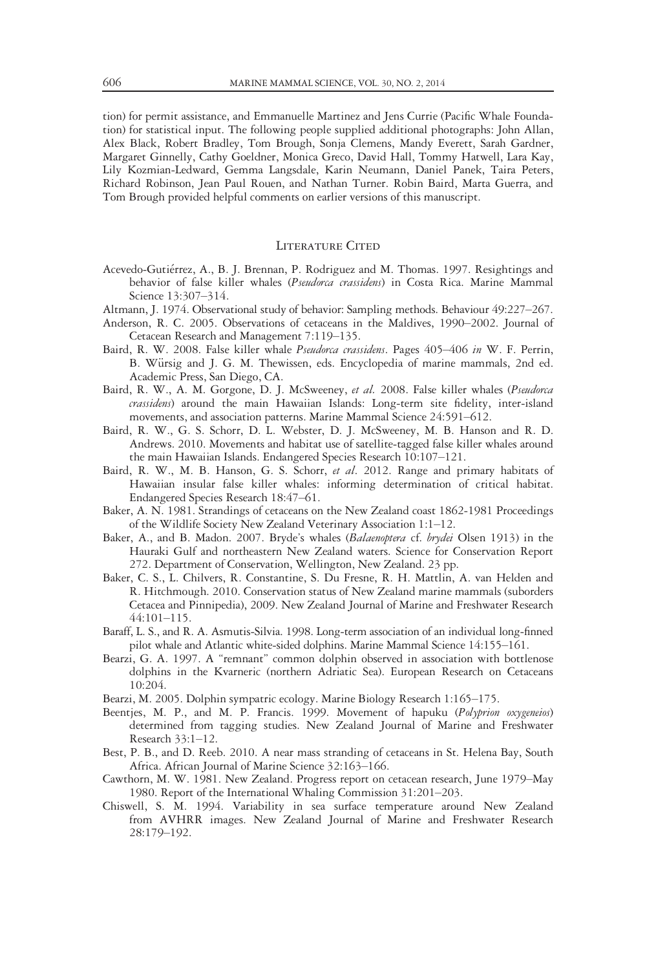tion) for permit assistance, and Emmanuelle Martinez and Jens Currie (Pacific Whale Foundation) for statistical input. The following people supplied additional photographs: John Allan, Alex Black, Robert Bradley, Tom Brough, Sonja Clemens, Mandy Everett, Sarah Gardner, Margaret Ginnelly, Cathy Goeldner, Monica Greco, David Hall, Tommy Hatwell, Lara Kay, Lily Kozmian-Ledward, Gemma Langsdale, Karin Neumann, Daniel Panek, Taira Peters, Richard Robinson, Jean Paul Rouen, and Nathan Turner. Robin Baird, Marta Guerra, and Tom Brough provided helpful comments on earlier versions of this manuscript.

### LITERATURE CITED

- Acevedo-Gutierrez, A., B. J. Brennan, P. Rodriguez and M. Thomas. 1997. Resightings and behavior of false killer whales (Pseudorca crassidens) in Costa Rica. Marine Mammal Science 13:307–314.
- Altmann, J. 1974. Observational study of behavior: Sampling methods. Behaviour 49:227–267.
- Anderson, R. C. 2005. Observations of cetaceans in the Maldives, 1990–2002. Journal of Cetacean Research and Management 7:119–135.
- Baird, R. W. 2008. False killer whale Pseudorca crassidens. Pages 405–406 in W. F. Perrin, B. Würsig and J. G. M. Thewissen, eds. Encyclopedia of marine mammals, 2nd ed. Academic Press, San Diego, CA.
- Baird, R. W., A. M. Gorgone, D. J. McSweeney, et al. 2008. False killer whales (Pseudorca crassidens) around the main Hawaiian Islands: Long-term site fidelity, inter-island movements, and association patterns. Marine Mammal Science 24:591–612.
- Baird, R. W., G. S. Schorr, D. L. Webster, D. J. McSweeney, M. B. Hanson and R. D. Andrews. 2010. Movements and habitat use of satellite-tagged false killer whales around the main Hawaiian Islands. Endangered Species Research 10:107–121.
- Baird, R. W., M. B. Hanson, G. S. Schorr, et al. 2012. Range and primary habitats of Hawaiian insular false killer whales: informing determination of critical habitat. Endangered Species Research 18:47–61.
- Baker, A. N. 1981. Strandings of cetaceans on the New Zealand coast 1862-1981 Proceedings of the Wildlife Society New Zealand Veterinary Association 1:1–12.
- Baker, A., and B. Madon. 2007. Bryde's whales (Balaenoptera cf. brydei Olsen 1913) in the Hauraki Gulf and northeastern New Zealand waters. Science for Conservation Report 272. Department of Conservation, Wellington, New Zealand. 23 pp.
- Baker, C. S., L. Chilvers, R. Constantine, S. Du Fresne, R. H. Mattlin, A. van Helden and R. Hitchmough. 2010. Conservation status of New Zealand marine mammals (suborders Cetacea and Pinnipedia), 2009. New Zealand Journal of Marine and Freshwater Research 44:101–115.
- Baraff, L. S., and R. A. Asmutis-Silvia. 1998. Long-term association of an individual long-finned pilot whale and Atlantic white-sided dolphins. Marine Mammal Science 14:155–161.
- Bearzi, G. A. 1997. A "remnant" common dolphin observed in association with bottlenose dolphins in the Kvarneric (northern Adriatic Sea). European Research on Cetaceans 10:204.
- Bearzi, M. 2005. Dolphin sympatric ecology. Marine Biology Research 1:165–175.
- Beentjes, M. P., and M. P. Francis. 1999. Movement of hapuku (Polyprion oxygeneios) determined from tagging studies. New Zealand Journal of Marine and Freshwater Research 33:1–12.
- Best, P. B., and D. Reeb. 2010. A near mass stranding of cetaceans in St. Helena Bay, South Africa. African Journal of Marine Science 32:163–166.
- Cawthorn, M. W. 1981. New Zealand. Progress report on cetacean research, June 1979–May 1980. Report of the International Whaling Commission 31:201–203.
- Chiswell, S. M. 1994. Variability in sea surface temperature around New Zealand from AVHRR images. New Zealand Journal of Marine and Freshwater Research 28:179–192.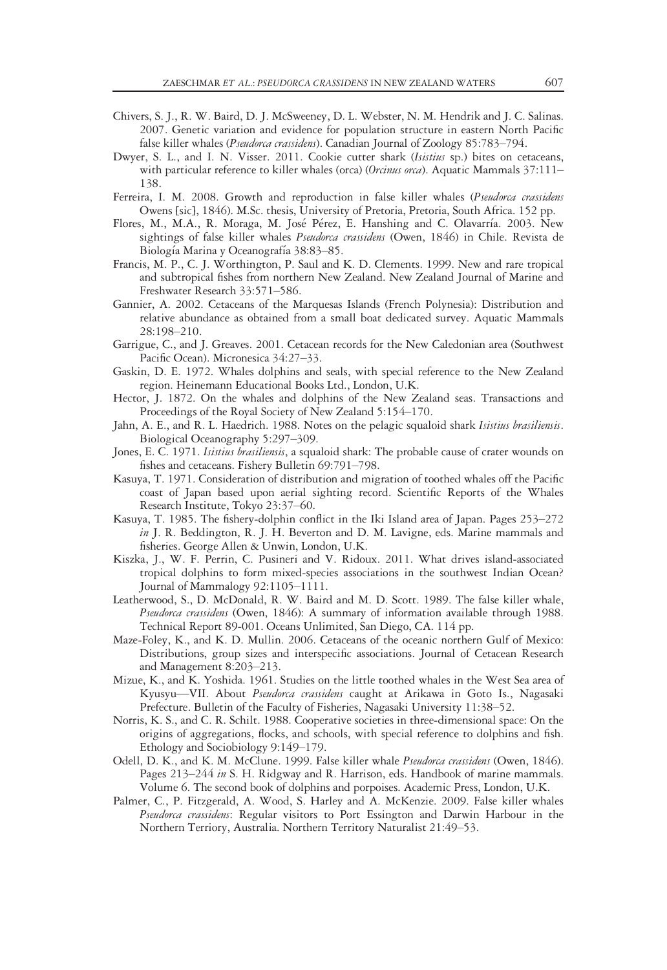- Chivers, S. J., R. W. Baird, D. J. McSweeney, D. L. Webster, N. M. Hendrik and J. C. Salinas. 2007. Genetic variation and evidence for population structure in eastern North Pacific false killer whales (Pseudorca crassidens). Canadian Journal of Zoology 85:783-794.
- Dwyer, S. L., and I. N. Visser. 2011. Cookie cutter shark (Isistius sp.) bites on cetaceans, with particular reference to killer whales (orca) (Orcinus orca). Aquatic Mammals 37:111-138.
- Ferreira, I. M. 2008. Growth and reproduction in false killer whales (*Pseudorca crassidens* Owens [sic], 1846). M.Sc. thesis, University of Pretoria, Pretoria, South Africa. 152 pp.
- Flores, M., M.A., R. Moraga, M. José Pérez, E. Hanshing and C. Olavarría. 2003. New sightings of false killer whales *Pseudorca crassidens* (Owen, 1846) in Chile. Revista de Biología Marina y Oceanografía 38:83-85.
- Francis, M. P., C. J. Worthington, P. Saul and K. D. Clements. 1999. New and rare tropical and subtropical fishes from northern New Zealand. New Zealand Journal of Marine and Freshwater Research 33:571–586.
- Gannier, A. 2002. Cetaceans of the Marquesas Islands (French Polynesia): Distribution and relative abundance as obtained from a small boat dedicated survey. Aquatic Mammals 28:198–210.
- Garrigue, C., and J. Greaves. 2001. Cetacean records for the New Caledonian area (Southwest Pacific Ocean). Micronesica 34:27–33.
- Gaskin, D. E. 1972. Whales dolphins and seals, with special reference to the New Zealand region. Heinemann Educational Books Ltd., London, U.K.
- Hector, J. 1872. On the whales and dolphins of the New Zealand seas. Transactions and Proceedings of the Royal Society of New Zealand 5:154–170.
- Jahn, A. E., and R. L. Haedrich. 1988. Notes on the pelagic squaloid shark Isistius brasiliensis. Biological Oceanography 5:297–309.
- Jones, E. C. 1971. Isistius brasiliensis, a squaloid shark: The probable cause of crater wounds on fishes and cetaceans. Fishery Bulletin 69:791–798.
- Kasuya, T. 1971. Consideration of distribution and migration of toothed whales off the Pacific coast of Japan based upon aerial sighting record. Scientific Reports of the Whales Research Institute, Tokyo 23:37–60.
- Kasuya, T. 1985. The fishery-dolphin conflict in the Iki Island area of Japan. Pages 253–272 in J. R. Beddington, R. J. H. Beverton and D. M. Lavigne, eds. Marine mammals and fisheries. George Allen & Unwin, London, U.K.
- Kiszka, J., W. F. Perrin, C. Pusineri and V. Ridoux. 2011. What drives island-associated tropical dolphins to form mixed-species associations in the southwest Indian Ocean? Journal of Mammalogy 92:1105–1111.
- Leatherwood, S., D. McDonald, R. W. Baird and M. D. Scott. 1989. The false killer whale, Pseudorca crassidens (Owen, 1846): A summary of information available through 1988. Technical Report 89-001. Oceans Unlimited, San Diego, CA. 114 pp.
- Maze-Foley, K., and K. D. Mullin. 2006. Cetaceans of the oceanic northern Gulf of Mexico: Distributions, group sizes and interspecific associations. Journal of Cetacean Research and Management 8:203–213.
- Mizue, K., and K. Yoshida. 1961. Studies on the little toothed whales in the West Sea area of Kyusyu—VII. About Pseudorca crassidens caught at Arikawa in Goto Is., Nagasaki Prefecture. Bulletin of the Faculty of Fisheries, Nagasaki University 11:38–52.
- Norris, K. S., and C. R. Schilt. 1988. Cooperative societies in three-dimensional space: On the origins of aggregations, flocks, and schools, with special reference to dolphins and fish. Ethology and Sociobiology 9:149–179.
- Odell, D. K., and K. M. McClune. 1999. False killer whale Pseudorca crassidens (Owen, 1846). Pages 213–244 in S. H. Ridgway and R. Harrison, eds. Handbook of marine mammals. Volume 6. The second book of dolphins and porpoises. Academic Press, London, U.K.
- Palmer, C., P. Fitzgerald, A. Wood, S. Harley and A. McKenzie. 2009. False killer whales Pseudorca crassidens: Regular visitors to Port Essington and Darwin Harbour in the Northern Terriory, Australia. Northern Territory Naturalist 21:49–53.